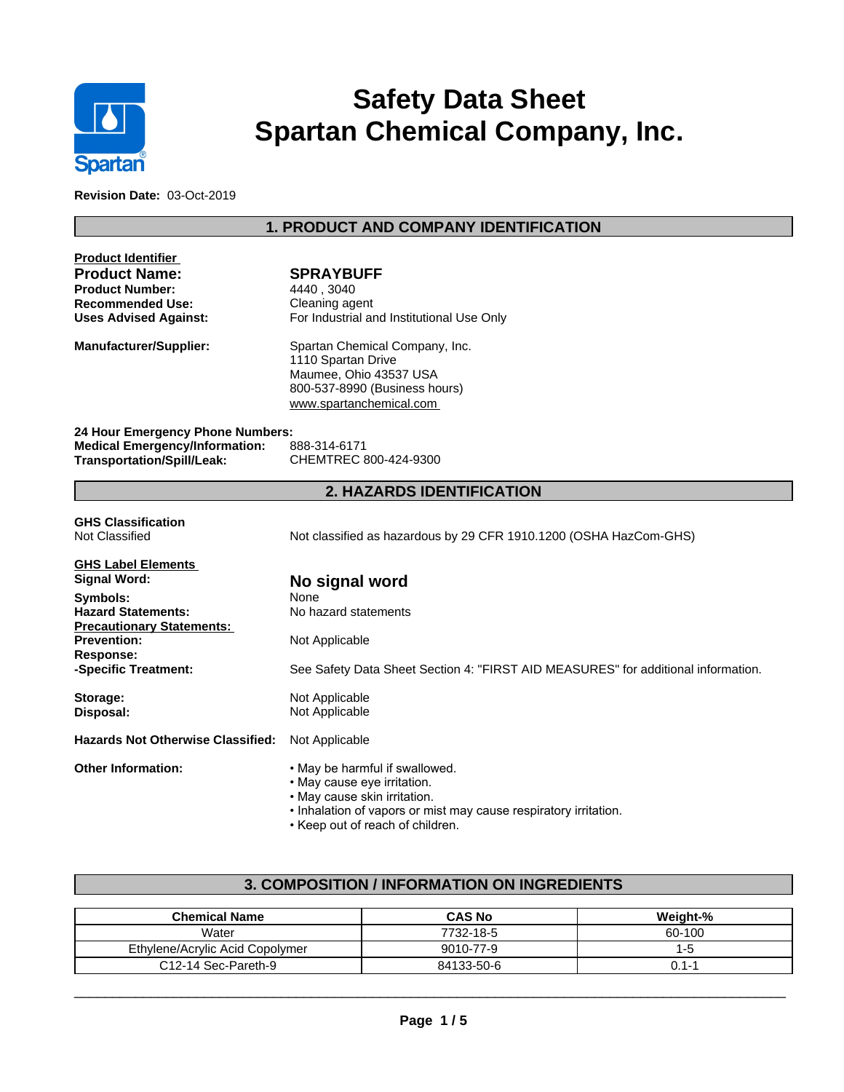

# **Safety Data Sheet Spartan Chemical Company, Inc.**

**Revision Date:** 03-Oct-2019

# **1. PRODUCT AND COMPANY IDENTIFICATION**

| <b>Product Identifier</b>                |                                                                                   |  |  |  |  |
|------------------------------------------|-----------------------------------------------------------------------------------|--|--|--|--|
| <b>Product Name:</b>                     | <b>SPRAYBUFF</b>                                                                  |  |  |  |  |
| <b>Product Number:</b>                   | 4440, 3040                                                                        |  |  |  |  |
| <b>Recommended Use:</b>                  | Cleaning agent                                                                    |  |  |  |  |
| <b>Uses Advised Against:</b>             | For Industrial and Institutional Use Only                                         |  |  |  |  |
| Manufacturer/Supplier:                   | Spartan Chemical Company, Inc.                                                    |  |  |  |  |
|                                          | 1110 Spartan Drive                                                                |  |  |  |  |
|                                          | Maumee, Ohio 43537 USA                                                            |  |  |  |  |
|                                          | 800-537-8990 (Business hours)                                                     |  |  |  |  |
|                                          | www.spartanchemical.com                                                           |  |  |  |  |
| 24 Hour Emergency Phone Numbers:         |                                                                                   |  |  |  |  |
| <b>Medical Emergency/Information:</b>    | 888-314-6171                                                                      |  |  |  |  |
| Transportation/Spill/Leak:               | CHEMTREC 800-424-9300                                                             |  |  |  |  |
|                                          | <b>2. HAZARDS IDENTIFICATION</b>                                                  |  |  |  |  |
| <b>GHS Classification</b>                |                                                                                   |  |  |  |  |
| Not Classified                           | Not classified as hazardous by 29 CFR 1910.1200 (OSHA HazCom-GHS)                 |  |  |  |  |
|                                          |                                                                                   |  |  |  |  |
| <b>GHS Label Elements</b>                |                                                                                   |  |  |  |  |
| Signal Word:                             | No signal word                                                                    |  |  |  |  |
| Symbols:                                 | None                                                                              |  |  |  |  |
| <b>Hazard Statements:</b>                | No hazard statements                                                              |  |  |  |  |
| <b>Precautionary Statements:</b>         |                                                                                   |  |  |  |  |
| <b>Prevention:</b>                       | Not Applicable                                                                    |  |  |  |  |
| <b>Response:</b>                         |                                                                                   |  |  |  |  |
| -Specific Treatment:                     | See Safety Data Sheet Section 4: "FIRST AID MEASURES" for additional information. |  |  |  |  |
| Storage:                                 | Not Applicable                                                                    |  |  |  |  |
| Disposal:                                | Not Applicable                                                                    |  |  |  |  |
| <b>Hazards Not Otherwise Classified:</b> | Not Applicable                                                                    |  |  |  |  |
| <b>Other Information:</b>                | . May be harmful if swallowed.                                                    |  |  |  |  |
|                                          | · May cause eye irritation.                                                       |  |  |  |  |
|                                          | • May cause skin irritation.                                                      |  |  |  |  |

- Inhalation of vapors or mist may cause respiratory irritation.
- Keep out of reach of children.

# **3. COMPOSITION / INFORMATION ON INGREDIENTS**

| <b>Chemical Name</b>            | <b>CAS No</b> | Weight-% |
|---------------------------------|---------------|----------|
| Water                           | 7732-18-5     | 60-100   |
| Ethylene/Acrylic Acid Copolymer | 9010-77-9     | '-೦      |
| C12-14 Sec-Pareth-9             | 84133-50-6    | 1-1. (   |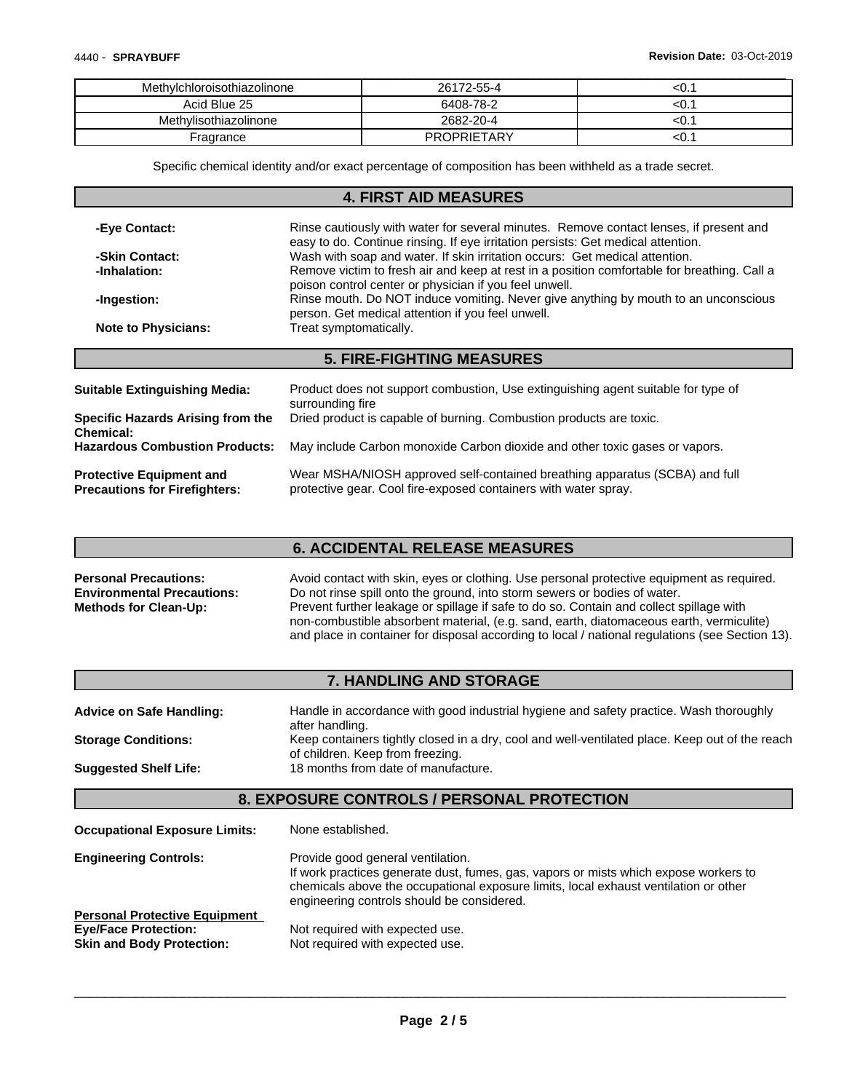| Methylchloroisothiazolinone | 26172-55-4         | ςU. |
|-----------------------------|--------------------|-----|
| Acid Blue 25                | 6408-78-2          | ςU. |
| Methylisothiazolinone       | 2682-20-4          | ςu. |
| Fragrance                   | <b>PROPRIETARY</b> | ςU. |

Specific chemical identity and/or exact percentage of composition has been withheld as a trade secret.

|                                                                         | <b>4. FIRST AID MEASURES</b>                                                                                                                                               |
|-------------------------------------------------------------------------|----------------------------------------------------------------------------------------------------------------------------------------------------------------------------|
| -Eye Contact:                                                           | Rinse cautiously with water for several minutes. Remove contact lenses, if present and<br>easy to do. Continue rinsing. If eye irritation persists: Get medical attention. |
| -Skin Contact:                                                          | Wash with soap and water. If skin irritation occurs: Get medical attention.                                                                                                |
| -Inhalation:                                                            | Remove victim to fresh air and keep at rest in a position comfortable for breathing. Call a<br>poison control center or physician if you feel unwell.                      |
| -Ingestion:                                                             | Rinse mouth. Do NOT induce vomiting. Never give anything by mouth to an unconscious<br>person. Get medical attention if you feel unwell.                                   |
| <b>Note to Physicians:</b>                                              | Treat symptomatically.                                                                                                                                                     |
|                                                                         | <b>5. FIRE-FIGHTING MEASURES</b>                                                                                                                                           |
| <b>Suitable Extinguishing Media:</b>                                    | Product does not support combustion, Use extinguishing agent suitable for type of<br>surrounding fire                                                                      |
| <b>Specific Hazards Arising from the</b><br><b>Chemical:</b>            | Dried product is capable of burning. Combustion products are toxic.                                                                                                        |
| <b>Hazardous Combustion Products:</b>                                   | May include Carbon monoxide Carbon dioxide and other toxic gases or vapors.                                                                                                |
| <b>Protective Equipment and</b><br><b>Precautions for Firefighters:</b> | Wear MSHA/NIOSH approved self-contained breathing apparatus (SCBA) and full<br>protective gear. Cool fire-exposed containers with water spray.                             |

### **6. ACCIDENTAL RELEASE MEASURES**

**Personal Precautions:** Avoid contact with skin, eyes or clothing. Use personal protective equipment as required. **Environmental Precautions:** Do not rinse spill onto the ground, into storm sewers or bodies of water. **Methods for Clean-Up:** Prevent further leakage or spillage if safe to do so. Contain and collect spillage with non-combustible absorbent material, (e.g. sand, earth, diatomaceous earth, vermiculite) and place in container for disposal according to local / national regulations (see Section 13).

## **7. HANDLING AND STORAGE**

| <b>Advice on Safe Handling:</b> | Handle in accordance with good industrial hygiene and safety practice. Wash thoroughly         |
|---------------------------------|------------------------------------------------------------------------------------------------|
|                                 | after handling.                                                                                |
| <b>Storage Conditions:</b>      | Keep containers tightly closed in a dry, cool and well-ventilated place. Keep out of the reach |
|                                 | of children. Keep from freezing.                                                               |
| <b>Suggested Shelf Life:</b>    | 18 months from date of manufacture.                                                            |

## **8. EXPOSURE CONTROLS / PERSONAL PROTECTION**

**Occupational Exposure Limits:** None established.

| <b>Engineering Controls:</b>         | Provide good general ventilation.<br>If work practices generate dust, fumes, gas, vapors or mists which expose workers to<br>chemicals above the occupational exposure limits, local exhaust ventilation or other<br>engineering controls should be considered. |
|--------------------------------------|-----------------------------------------------------------------------------------------------------------------------------------------------------------------------------------------------------------------------------------------------------------------|
| <b>Personal Protective Equipment</b> |                                                                                                                                                                                                                                                                 |
| <b>Eye/Face Protection:</b>          | Not required with expected use.                                                                                                                                                                                                                                 |
| <b>Skin and Body Protection:</b>     | Not required with expected use.                                                                                                                                                                                                                                 |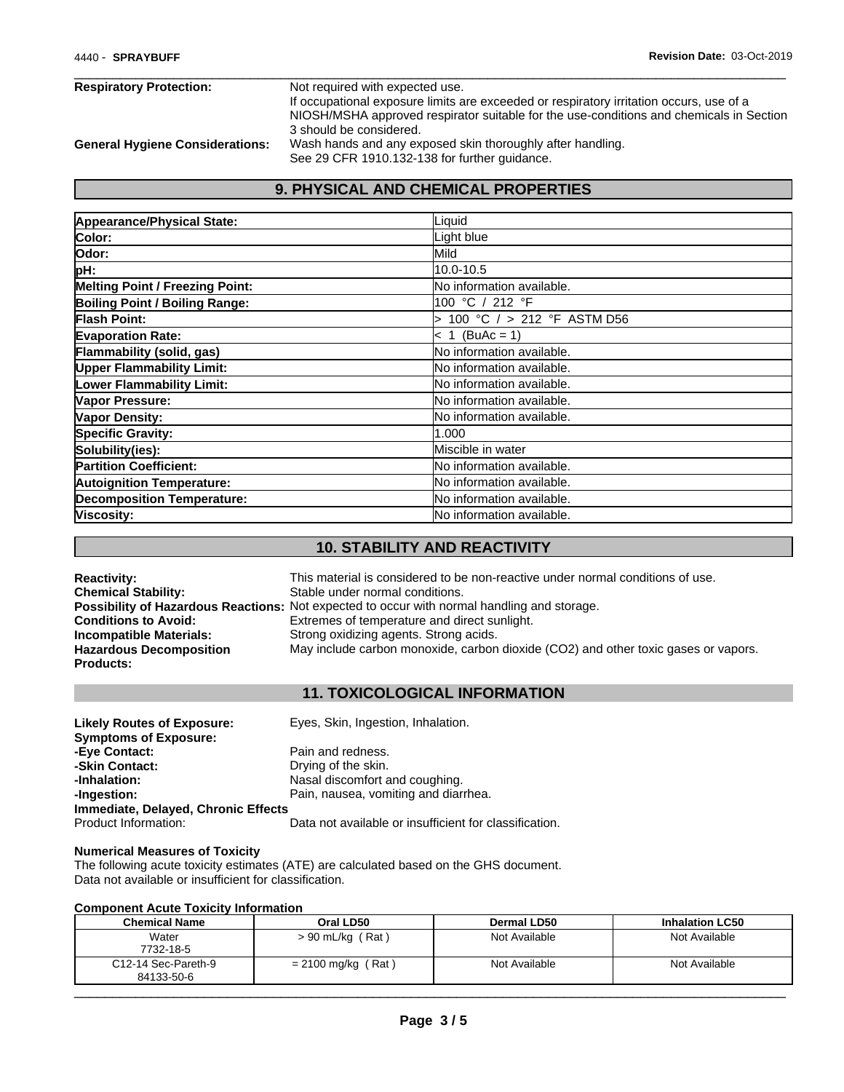| <b>Respiratory Protection:</b>         | Not required with expected use.                                                         |
|----------------------------------------|-----------------------------------------------------------------------------------------|
|                                        | If occupational exposure limits are exceeded or respiratory irritation occurs, use of a |
|                                        | NIOSH/MSHA approved respirator suitable for the use-conditions and chemicals in Section |
|                                        | 3 should be considered.                                                                 |
| <b>General Hygiene Considerations:</b> | Wash hands and any exposed skin thoroughly after handling.                              |
|                                        | See 29 CFR 1910.132-138 for further guidance.                                           |

# **9. PHYSICAL AND CHEMICAL PROPERTIES**

| Appearance/Physical State:             | Liquid                            |
|----------------------------------------|-----------------------------------|
| Color:                                 | Light blue                        |
| lOdor:                                 | Mild                              |
| pH:                                    | 10.0-10.5                         |
| <b>Melting Point / Freezing Point:</b> | No information available.         |
| Boiling Point / Boiling Range:         | 100 °C / 212 °F                   |
| Flash Point:                           | 100 °C / > 212 °F ASTM D56        |
| <b>Evaporation Rate:</b>               | $< 1$ (BuAc = 1)                  |
| Flammability (solid, gas)              | No information available.         |
| <b>Upper Flammability Limit:</b>       | No information available.         |
| <b>Lower Flammability Limit:</b>       | No information available.         |
| Vapor Pressure:                        | No information available.         |
| Vapor Density:                         | <b>INo information available.</b> |
| <b>Specific Gravity:</b>               | 1.000                             |
| Solubility(ies):                       | Miscible in water                 |
| <b>Partition Coefficient:</b>          | <b>No information available.</b>  |
| <b>Autoignition Temperature:</b>       | <b>INo information available.</b> |
| <b>Decomposition Temperature:</b>      | <b>INo information available.</b> |
| Viscosity:                             | lNo information available.        |

# **10. STABILITY AND REACTIVITY**

| <b>Reactivity:</b>             | This material is considered to be non-reactive under normal conditions of use.                     |
|--------------------------------|----------------------------------------------------------------------------------------------------|
| <b>Chemical Stability:</b>     | Stable under normal conditions.                                                                    |
|                                | <b>Possibility of Hazardous Reactions:</b> Not expected to occur with normal handling and storage. |
| <b>Conditions to Avoid:</b>    | Extremes of temperature and direct sunlight.                                                       |
| Incompatible Materials:        | Strong oxidizing agents. Strong acids.                                                             |
| <b>Hazardous Decomposition</b> | May include carbon monoxide, carbon dioxide (CO2) and other toxic gases or vapors.                 |
| <b>Products:</b>               |                                                                                                    |

## **11. TOXICOLOGICAL INFORMATION**

| <b>Likely Routes of Exposure:</b>   | Eyes, Skin, Ingestion, Inhalation.                     |
|-------------------------------------|--------------------------------------------------------|
| <b>Symptoms of Exposure:</b>        |                                                        |
| -Eve Contact:                       | Pain and redness.                                      |
| -Skin Contact:                      | Drying of the skin.                                    |
| -Inhalation:                        | Nasal discomfort and coughing.                         |
| -Ingestion:                         | Pain, nausea, vomiting and diarrhea.                   |
| Immediate, Delayed, Chronic Effects |                                                        |
| Product Information:                | Data not available or insufficient for classification. |

#### **Numerical Measures of Toxicity**

The following acute toxicity estimates (ATE) are calculated based on the GHS document. Data not available or insufficient for classification.

#### **Component Acute Toxicity Information**

| Water<br>Not Available<br>Not Available<br>$> 90$ mL/kg (Rat)<br>7732-18-5<br>C12-14 Sec-Pareth-9<br>$= 2100$ mg/kg (Rat)<br>Not Available<br>Not Available<br>84133-50-6 | <b>Chemical Name</b> | Oral LD50 | Dermal LD50 | <b>Inhalation LC50</b> |
|---------------------------------------------------------------------------------------------------------------------------------------------------------------------------|----------------------|-----------|-------------|------------------------|
|                                                                                                                                                                           |                      |           |             |                        |
|                                                                                                                                                                           |                      |           |             |                        |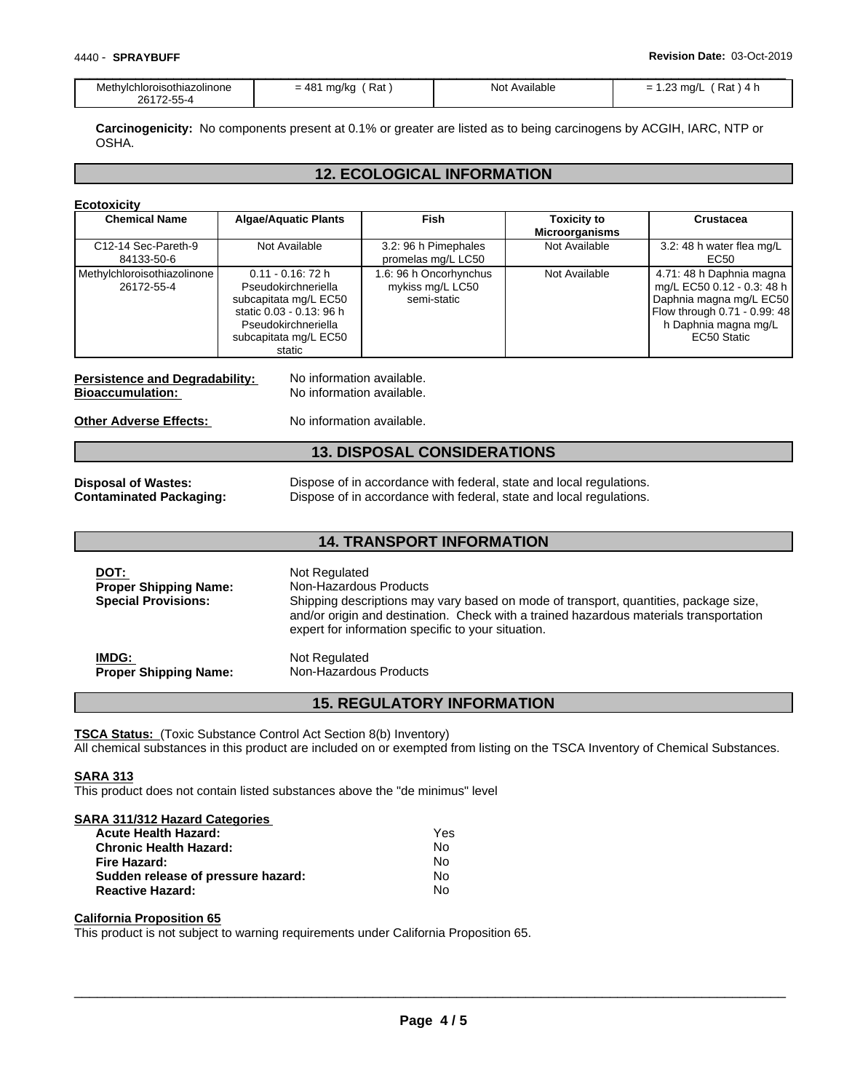| Methylchloroisothiazolinone | Rat<br>$= 48^{\circ}$<br>mg/kg | Not<br>: Available | -<br>$\sim$<br>$'$ Rat ) 4 $\mathsf{h}$<br>23 mg/L<br>$\overline{\phantom{0}}$ |
|-----------------------------|--------------------------------|--------------------|--------------------------------------------------------------------------------|
| 26172-55-4                  |                                |                    |                                                                                |

**Carcinogenicity:** No components present at 0.1% or greater are listed as to being carcinogens by ACGIH, IARC, NTP or OSHA.

## **12. ECOLOGICAL INFORMATION**

| <b>Ecotoxicity</b> |  |
|--------------------|--|
|                    |  |

| <b>Chemical Name</b>                                             | <b>Algae/Aquatic Plants</b>                                                                                                                                | Fish                                                                                                                                       | Toxicity to<br><b>Microorganisms</b> | <b>Crustacea</b>                                                                                                                                         |
|------------------------------------------------------------------|------------------------------------------------------------------------------------------------------------------------------------------------------------|--------------------------------------------------------------------------------------------------------------------------------------------|--------------------------------------|----------------------------------------------------------------------------------------------------------------------------------------------------------|
| C12-14 Sec-Pareth-9<br>84133-50-6                                | Not Available                                                                                                                                              | 3.2: 96 h Pimephales<br>promelas mg/L LC50                                                                                                 | Not Available                        | 3.2: 48 h water flea mg/L<br>EC50                                                                                                                        |
| Methylchloroisothiazolinone<br>26172-55-4                        | $0.11 - 0.16$ : 72 h<br>Pseudokirchneriella<br>subcapitata mg/L EC50<br>static 0.03 - 0.13: 96 h<br>Pseudokirchneriella<br>subcapitata mg/L EC50<br>static | 1.6: 96 h Oncorhynchus<br>mykiss mg/L LC50<br>semi-static                                                                                  | Not Available                        | 4.71: 48 h Daphnia magna<br>mg/L EC50 0.12 - 0.3: 48 h<br>Daphnia magna mg/L EC50<br>Flow through 0.71 - 0.99: 48<br>h Daphnia magna mg/L<br>EC50 Static |
| <b>Persistence and Degradability:</b><br><b>Bioaccumulation:</b> | No information available.<br>No information available.                                                                                                     |                                                                                                                                            |                                      |                                                                                                                                                          |
| <b>Other Adverse Effects:</b>                                    | No information available.                                                                                                                                  |                                                                                                                                            |                                      |                                                                                                                                                          |
|                                                                  |                                                                                                                                                            | <b>13. DISPOSAL CONSIDERATIONS</b>                                                                                                         |                                      |                                                                                                                                                          |
| <b>Disposal of Wastes:</b><br><b>Contaminated Packaging:</b>     |                                                                                                                                                            | Dispose of in accordance with federal, state and local regulations.<br>Dispose of in accordance with federal, state and local regulations. |                                      |                                                                                                                                                          |

## **14. TRANSPORT INFORMATION**

| DOT:<br><b>Proper Shipping Name:</b><br><b>Special Provisions:</b> | Not Regulated<br>Non-Hazardous Products<br>Shipping descriptions may vary based on mode of transport, quantities, package size,<br>and/or origin and destination. Check with a trained hazardous materials transportation<br>expert for information specific to your situation. |
|--------------------------------------------------------------------|---------------------------------------------------------------------------------------------------------------------------------------------------------------------------------------------------------------------------------------------------------------------------------|
| IMDG:                                                              | Not Regulated                                                                                                                                                                                                                                                                   |
| <b>Proper Shipping Name:</b>                                       | Non-Hazardous Products                                                                                                                                                                                                                                                          |

## **15. REGULATORY INFORMATION**

**TSCA Status:** (Toxic Substance Control Act Section 8(b) Inventory) All chemical substances in this product are included on or exempted from listing on the TSCA Inventory of Chemical Substances.

**SARA 313**

This product does not contain listed substances above the "de minimus" level

#### **SARA 311/312 Hazard Categories**

| <b>Acute Health Hazard:</b>        | Yes |
|------------------------------------|-----|
| <b>Chronic Health Hazard:</b>      | Nο  |
| Fire Hazard:                       | N٥  |
| Sudden release of pressure hazard: | No. |
| <b>Reactive Hazard:</b>            | N٥  |

#### **California Proposition 65**

This product is not subject to warning requirements under California Proposition 65.